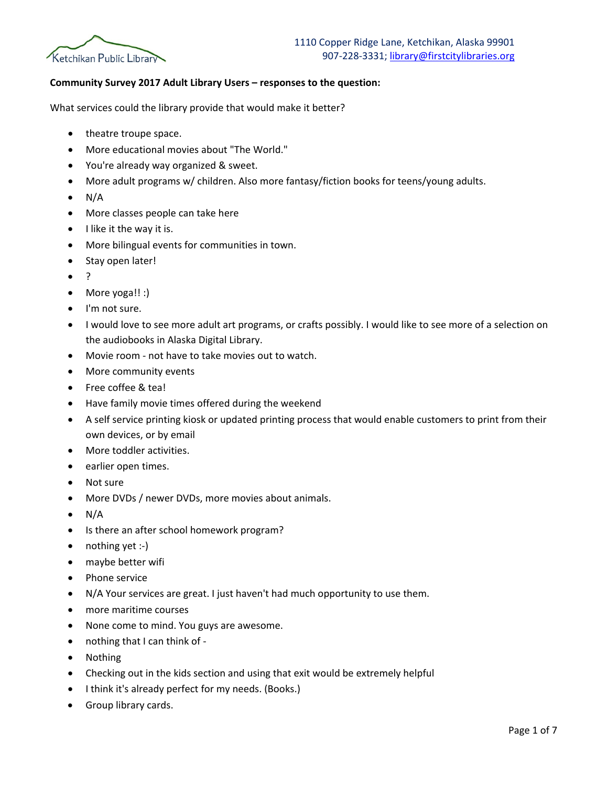

## **Community Survey 2017 Adult Library Users – responses to the question:**

What services could the library provide that would make it better?

- theatre troupe space.
- More educational movies about "The World."
- You're already way organized & sweet.
- More adult programs w/ children. Also more fantasy/fiction books for teens/young adults.
- $\bullet$  N/A
- More classes people can take here
- I like it the way it is.
- More bilingual events for communities in town.
- Stay open later!
- ?
- More yoga!! :)
- I'm not sure.
- I would love to see more adult art programs, or crafts possibly. I would like to see more of a selection on the audiobooks in Alaska Digital Library.
- Movie room not have to take movies out to watch.
- More community events
- Free coffee & tea!
- Have family movie times offered during the weekend
- A self service printing kiosk or updated printing process that would enable customers to print from their own devices, or by email
- More toddler activities.
- earlier open times.
- Not sure
- More DVDs / newer DVDs, more movies about animals.
- $\bullet$  N/A
- Is there an after school homework program?
- nothing yet :-)
- maybe better wifi
- Phone service
- N/A Your services are great. I just haven't had much opportunity to use them.
- more maritime courses
- None come to mind. You guys are awesome.
- nothing that I can think of -
- Nothing
- Checking out in the kids section and using that exit would be extremely helpful
- I think it's already perfect for my needs. (Books.)
- Group library cards.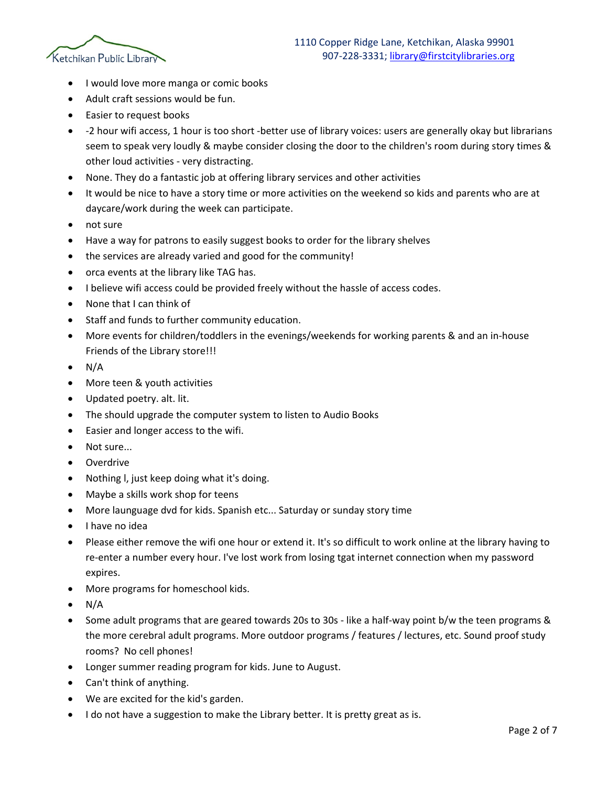

- I would love more manga or comic books
- Adult craft sessions would be fun.
- Easier to request books
- -2 hour wifi access, 1 hour is too short -better use of library voices: users are generally okay but librarians seem to speak very loudly & maybe consider closing the door to the children's room during story times & other loud activities - very distracting.
- None. They do a fantastic job at offering library services and other activities
- It would be nice to have a story time or more activities on the weekend so kids and parents who are at daycare/work during the week can participate.
- not sure
- Have a way for patrons to easily suggest books to order for the library shelves
- the services are already varied and good for the community!
- orca events at the library like TAG has.
- I believe wifi access could be provided freely without the hassle of access codes.
- None that I can think of
- Staff and funds to further community education.
- More events for children/toddlers in the evenings/weekends for working parents & and an in-house Friends of the Library store!!!
- N/A
- More teen & youth activities
- Updated poetry. alt. lit.
- The should upgrade the computer system to listen to Audio Books
- Easier and longer access to the wifi.
- Not sure...
- Overdrive
- Nothing l, just keep doing what it's doing.
- Maybe a skills work shop for teens
- More launguage dvd for kids. Spanish etc... Saturday or sunday story time
- I have no idea
- Please either remove the wifi one hour or extend it. It's so difficult to work online at the library having to re-enter a number every hour. I've lost work from losing tgat internet connection when my password expires.
- More programs for homeschool kids.
- $N/A$
- Some adult programs that are geared towards 20s to 30s like a half-way point b/w the teen programs & the more cerebral adult programs. More outdoor programs / features / lectures, etc. Sound proof study rooms? No cell phones!
- Longer summer reading program for kids. June to August.
- Can't think of anything.
- We are excited for the kid's garden.
- I do not have a suggestion to make the Library better. It is pretty great as is.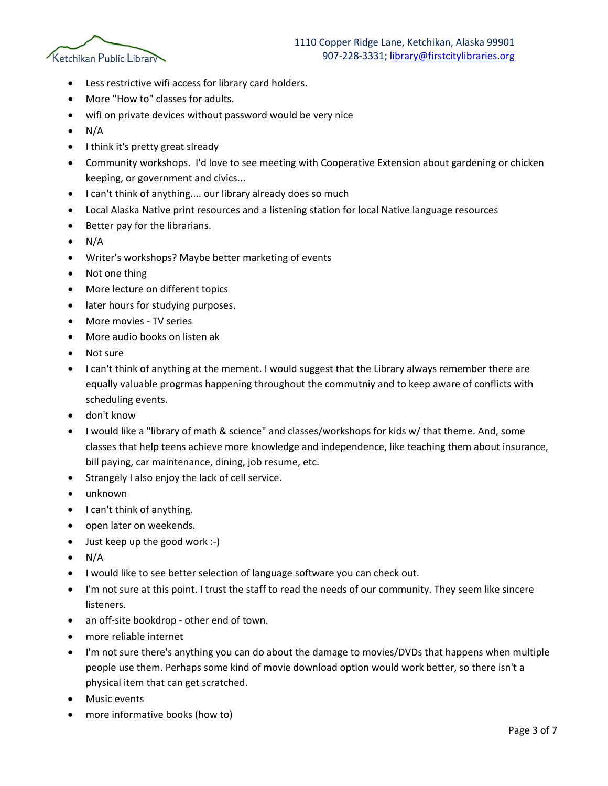

- Less restrictive wifi access for library card holders.
- More "How to" classes for adults.
- wifi on private devices without password would be very nice
- $\bullet$  N/A
- I think it's pretty great slready
- Community workshops. I'd love to see meeting with Cooperative Extension about gardening or chicken keeping, or government and civics...
- I can't think of anything.... our library already does so much
- Local Alaska Native print resources and a listening station for local Native language resources
- Better pay for the librarians.
- $N/A$
- Writer's workshops? Maybe better marketing of events
- Not one thing
- More lecture on different topics
- later hours for studying purposes.
- More movies TV series
- More audio books on listen ak
- Not sure
- I can't think of anything at the mement. I would suggest that the Library always remember there are equally valuable progrmas happening throughout the commutniy and to keep aware of conflicts with scheduling events.
- don't know
- I would like a "library of math & science" and classes/workshops for kids w/ that theme. And, some classes that help teens achieve more knowledge and independence, like teaching them about insurance, bill paying, car maintenance, dining, job resume, etc.
- Strangely I also enjoy the lack of cell service.
- unknown
- I can't think of anything.
- open later on weekends.
- Just keep up the good work :-)
- $N/A$
- I would like to see better selection of language software you can check out.
- I'm not sure at this point. I trust the staff to read the needs of our community. They seem like sincere listeners.
- an off-site bookdrop other end of town.
- more reliable internet
- I'm not sure there's anything you can do about the damage to movies/DVDs that happens when multiple people use them. Perhaps some kind of movie download option would work better, so there isn't a physical item that can get scratched.
- Music events
- more informative books (how to)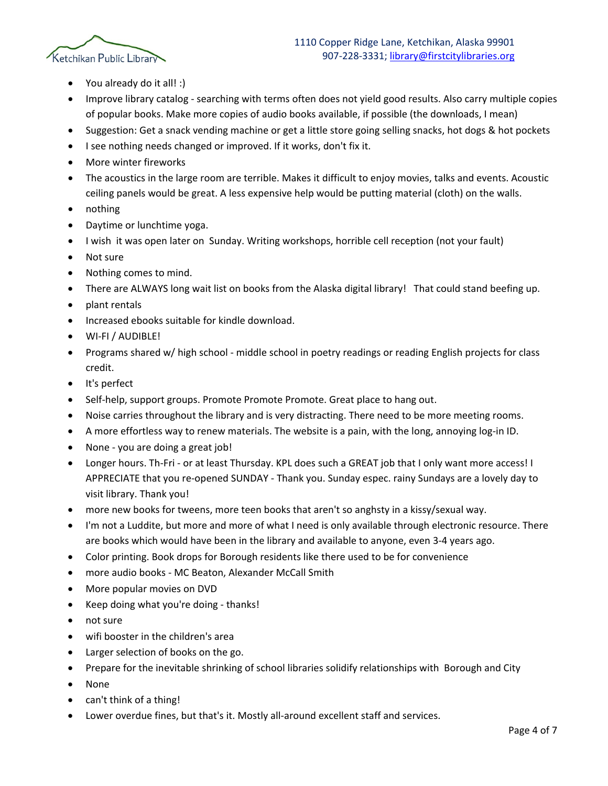

- You already do it all! :)
- Improve library catalog searching with terms often does not yield good results. Also carry multiple copies of popular books. Make more copies of audio books available, if possible (the downloads, I mean)
- Suggestion: Get a snack vending machine or get a little store going selling snacks, hot dogs & hot pockets
- I see nothing needs changed or improved. If it works, don't fix it.
- More winter fireworks
- The acoustics in the large room are terrible. Makes it difficult to enjoy movies, talks and events. Acoustic ceiling panels would be great. A less expensive help would be putting material (cloth) on the walls.
- nothing
- Daytime or lunchtime yoga.
- I wish it was open later on Sunday. Writing workshops, horrible cell reception (not your fault)
- Not sure
- Nothing comes to mind.
- There are ALWAYS long wait list on books from the Alaska digital library! That could stand beefing up.
- plant rentals
- Increased ebooks suitable for kindle download.
- WI-FI / AUDIBLE!
- Programs shared w/ high school middle school in poetry readings or reading English projects for class credit.
- It's perfect
- Self-help, support groups. Promote Promote Promote. Great place to hang out.
- Noise carries throughout the library and is very distracting. There need to be more meeting rooms.
- A more effortless way to renew materials. The website is a pain, with the long, annoying log-in ID.
- None you are doing a great job!
- Longer hours. Th-Fri or at least Thursday. KPL does such a GREAT job that I only want more access! I APPRECIATE that you re-opened SUNDAY - Thank you. Sunday espec. rainy Sundays are a lovely day to visit library. Thank you!
- more new books for tweens, more teen books that aren't so anghsty in a kissy/sexual way.
- I'm not a Luddite, but more and more of what I need is only available through electronic resource. There are books which would have been in the library and available to anyone, even 3-4 years ago.
- Color printing. Book drops for Borough residents like there used to be for convenience
- more audio books MC Beaton, Alexander McCall Smith
- More popular movies on DVD
- Keep doing what you're doing thanks!
- not sure
- wifi booster in the children's area
- Larger selection of books on the go.
- Prepare for the inevitable shrinking of school libraries solidify relationships with Borough and City
- None
- can't think of a thing!
- Lower overdue fines, but that's it. Mostly all-around excellent staff and services.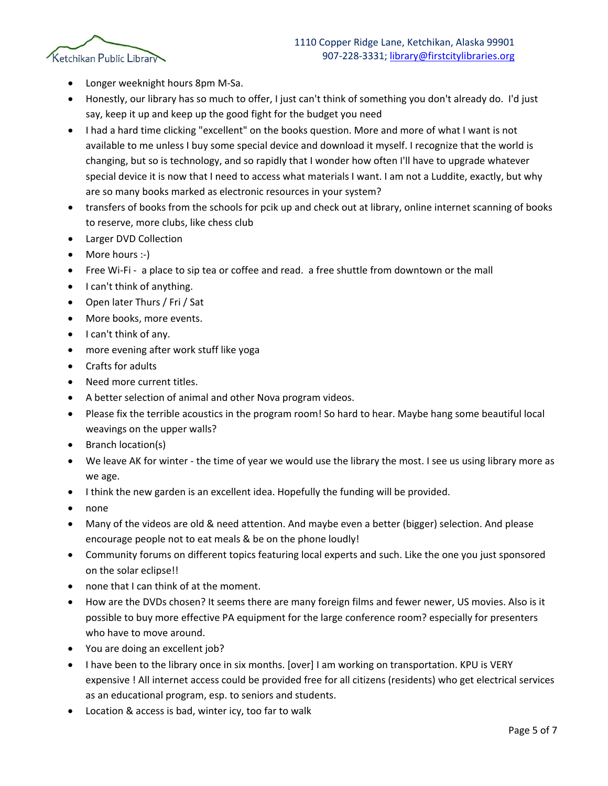

- Longer weeknight hours 8pm M-Sa.
- Honestly, our library has so much to offer, I just can't think of something you don't already do. I'd just say, keep it up and keep up the good fight for the budget you need
- I had a hard time clicking "excellent" on the books question. More and more of what I want is not available to me unless I buy some special device and download it myself. I recognize that the world is changing, but so is technology, and so rapidly that I wonder how often I'll have to upgrade whatever special device it is now that I need to access what materials I want. I am not a Luddite, exactly, but why are so many books marked as electronic resources in your system?
- transfers of books from the schools for pcik up and check out at library, online internet scanning of books to reserve, more clubs, like chess club
- Larger DVD Collection
- More hours :-)
- Free Wi-Fi a place to sip tea or coffee and read. a free shuttle from downtown or the mall
- I can't think of anything.
- Open later Thurs / Fri / Sat
- More books, more events.
- I can't think of any.
- more evening after work stuff like yoga
- Crafts for adults
- Need more current titles.
- A better selection of animal and other Nova program videos.
- Please fix the terrible acoustics in the program room! So hard to hear. Maybe hang some beautiful local weavings on the upper walls?
- Branch location(s)
- We leave AK for winter the time of year we would use the library the most. I see us using library more as we age.
- I think the new garden is an excellent idea. Hopefully the funding will be provided.
- none
- Many of the videos are old & need attention. And maybe even a better (bigger) selection. And please encourage people not to eat meals & be on the phone loudly!
- Community forums on different topics featuring local experts and such. Like the one you just sponsored on the solar eclipse!!
- none that I can think of at the moment.
- How are the DVDs chosen? It seems there are many foreign films and fewer newer, US movies. Also is it possible to buy more effective PA equipment for the large conference room? especially for presenters who have to move around.
- You are doing an excellent job?
- I have been to the library once in six months. [over] I am working on transportation. KPU is VERY expensive ! All internet access could be provided free for all citizens (residents) who get electrical services as an educational program, esp. to seniors and students.
- Location & access is bad, winter icy, too far to walk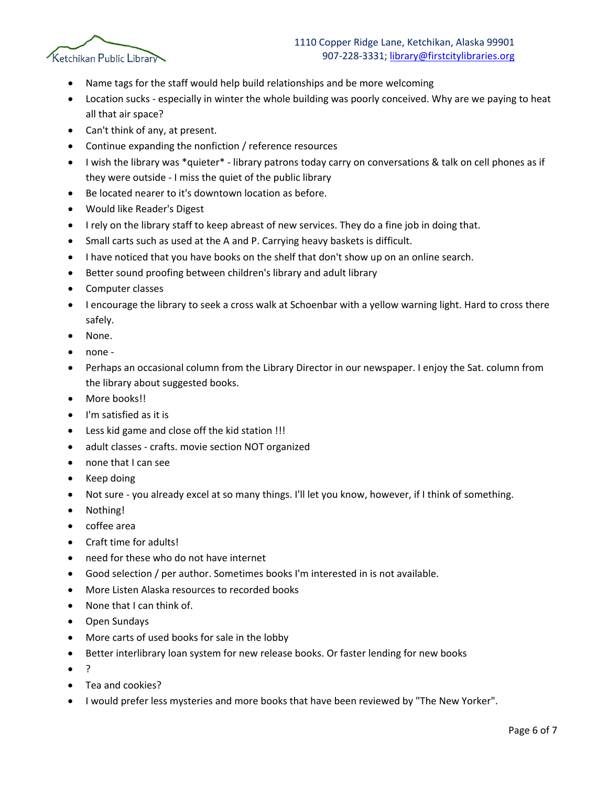

- Name tags for the staff would help build relationships and be more welcoming
- Location sucks especially in winter the whole building was poorly conceived. Why are we paying to heat all that air space?
- Can't think of any, at present.
- Continue expanding the nonfiction / reference resources
- I wish the library was \*quieter\* library patrons today carry on conversations & talk on cell phones as if they were outside - I miss the quiet of the public library
- Be located nearer to it's downtown location as before.
- Would like Reader's Digest
- I rely on the library staff to keep abreast of new services. They do a fine job in doing that.
- Small carts such as used at the A and P. Carrying heavy baskets is difficult.
- I have noticed that you have books on the shelf that don't show up on an online search.
- Better sound proofing between children's library and adult library
- Computer classes
- I encourage the library to seek a cross walk at Schoenbar with a yellow warning light. Hard to cross there safely.
- None.
- none -
- Perhaps an occasional column from the Library Director in our newspaper. I enjoy the Sat. column from the library about suggested books.
- More books!!
- I'm satisfied as it is
- Less kid game and close off the kid station !!!
- adult classes crafts. movie section NOT organized
- none that I can see
- Keep doing
- Not sure you already excel at so many things. I'll let you know, however, if I think of something.
- Nothing!
- coffee area
- Craft time for adults!
- need for these who do not have internet
- Good selection / per author. Sometimes books I'm interested in is not available.
- More Listen Alaska resources to recorded books
- None that I can think of.
- Open Sundays
- More carts of used books for sale in the lobby
- Better interlibrary loan system for new release books. Or faster lending for new books
- ?
- Tea and cookies?
- I would prefer less mysteries and more books that have been reviewed by "The New Yorker".